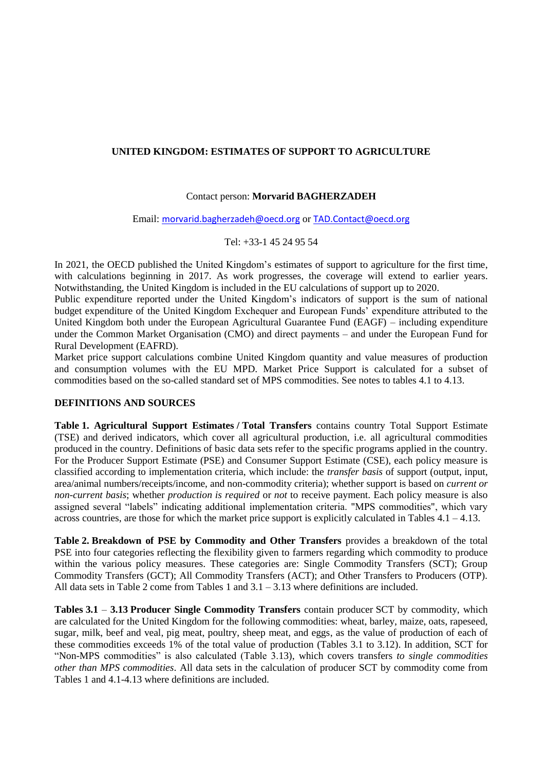# **UNITED KINGDOM: ESTIMATES OF SUPPORT TO AGRICULTURE**

## Contact person: **Morvarid BAGHERZADEH**

Email: [morvarid.bagherzadeh@oecd.org](mailto:morvarid.bagherzadeh@oecd.org) or [TAD.Contact@oecd.org](mailto:TAD.Contact@oecd.org)

Tel: +33-1 45 24 95 54

In 2021, the OECD published the United Kingdom's estimates of support to agriculture for the first time, with calculations beginning in 2017. As work progresses, the coverage will extend to earlier years. Notwithstanding, the United Kingdom is included in the EU calculations of support up to 2020.

Public expenditure reported under the United Kingdom's indicators of support is the sum of national budget expenditure of the United Kingdom Exchequer and European Funds' expenditure attributed to the United Kingdom both under the European Agricultural Guarantee Fund (EAGF) – including expenditure under the Common Market Organisation (CMO) and direct payments – and under the European Fund for Rural Development (EAFRD).

Market price support calculations combine United Kingdom quantity and value measures of production and consumption volumes with the EU MPD. Market Price Support is calculated for a subset of commodities based on the so-called standard set of MPS commodities. See notes to tables 4.1 to 4.13.

## **DEFINITIONS AND SOURCES**

**Table 1. Agricultural Support Estimates / Total Transfers** contains country Total Support Estimate (TSE) and derived indicators, which cover all agricultural production, i.e. all agricultural commodities produced in the country. Definitions of basic data sets refer to the specific programs applied in the country. For the Producer Support Estimate (PSE) and Consumer Support Estimate (CSE), each policy measure is classified according to implementation criteria, which include: the *transfer basis* of support (output, input, area/animal numbers/receipts/income, and non-commodity criteria); whether support is based on *current or non-current basis*; whether *production is required* or *not* to receive payment. Each policy measure is also assigned several "labels" indicating additional implementation criteria. "MPS commodities", which vary across countries, are those for which the market price support is explicitly calculated in Tables  $4.1 - 4.13$ .

**Table 2. Breakdown of PSE by Commodity and Other Transfers** provides a breakdown of the total PSE into four categories reflecting the flexibility given to farmers regarding which commodity to produce within the various policy measures. These categories are: Single Commodity Transfers (SCT); Group Commodity Transfers (GCT); All Commodity Transfers (ACT); and Other Transfers to Producers (OTP). All data sets in Table 2 come from Tables 1 and  $3.1 - 3.13$  where definitions are included.

**Tables 3.1** – **3.13 Producer Single Commodity Transfers** contain producer SCT by commodity, which are calculated for the United Kingdom for the following commodities: wheat, barley, maize, oats, rapeseed, sugar, milk, beef and veal, pig meat, poultry, sheep meat, and eggs, as the value of production of each of these commodities exceeds 1% of the total value of production (Tables 3.1 to 3.12). In addition, SCT for "Non-MPS commodities" is also calculated (Table 3.13), which covers transfers *to single commodities other than MPS commodities*. All data sets in the calculation of producer SCT by commodity come from Tables 1 and 4.1-4.13 where definitions are included.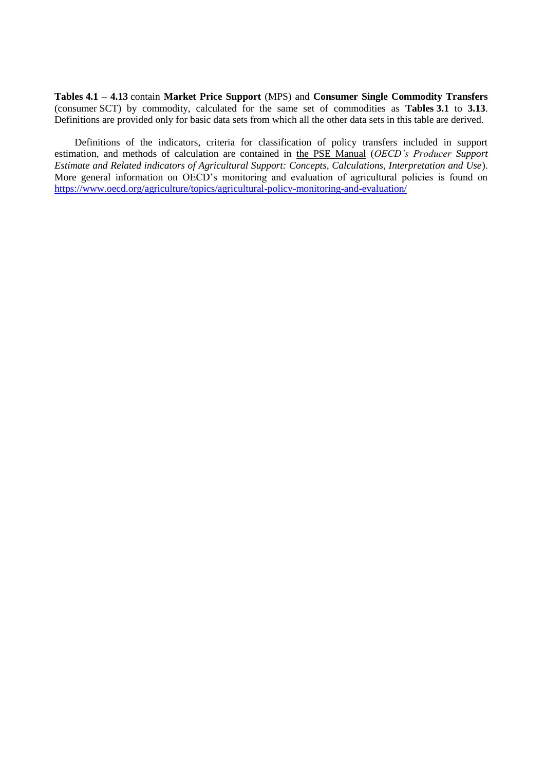**Tables 4.1** – **4.13** contain **Market Price Support** (MPS) and **Consumer Single Commodity Transfers** (consumer SCT) by commodity, calculated for the same set of commodities as **Tables 3.1** to **3.13**. Definitions are provided only for basic data sets from which all the other data sets in this table are derived.

Definitions of the indicators, criteria for classification of policy transfers included in support estimation, and methods of calculation are contained in [the PSE Manual](http://www.oecd.org/tad/agricultural-policies/psemanual.htm) (*OECD's Producer Support Estimate and Related indicators of Agricultural Support: Concepts, Calculations, Interpretation and Use*). More general information on OECD's monitoring and evaluation of agricultural policies is found on <https://www.oecd.org/agriculture/topics/agricultural-policy-monitoring-and-evaluation/>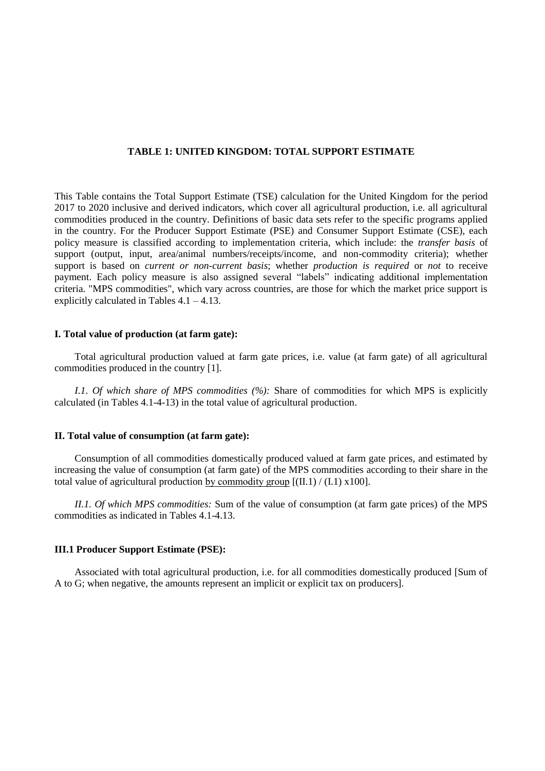#### **TABLE 1: UNITED KINGDOM: TOTAL SUPPORT ESTIMATE**

This Table contains the Total Support Estimate (TSE) calculation for the United Kingdom for the period 2017 to 2020 inclusive and derived indicators, which cover all agricultural production, i.e. all agricultural commodities produced in the country. Definitions of basic data sets refer to the specific programs applied in the country. For the Producer Support Estimate (PSE) and Consumer Support Estimate (CSE), each policy measure is classified according to implementation criteria, which include: the *transfer basis* of support (output, input, area/animal numbers/receipts/income, and non-commodity criteria); whether support is based on *current or non-current basis*; whether *production is required* or *not* to receive payment. Each policy measure is also assigned several "labels" indicating additional implementation criteria. "MPS commodities", which vary across countries, are those for which the market price support is explicitly calculated in Tables  $4.1 - 4.13$ .

#### **I. Total value of production (at farm gate):**

Total agricultural production valued at farm gate prices, i.e. value (at farm gate) of all agricultural commodities produced in the country [1].

*I.1. Of which share of MPS commodities (%):* Share of commodities for which MPS is explicitly calculated (in Tables 4.1-4-13) in the total value of agricultural production.

## **II. Total value of consumption (at farm gate):**

Consumption of all commodities domestically produced valued at farm gate prices, and estimated by increasing the value of consumption (at farm gate) of the MPS commodities according to their share in the total value of agricultural production by commodity group  $[(II,1) / (I,1) \times 100]$ .

*II.1. Of which MPS commodities:* Sum of the value of consumption (at farm gate prices) of the MPS commodities as indicated in Tables 4.1-4.13.

#### **III.1 Producer Support Estimate (PSE):**

Associated with total agricultural production, i.e. for all commodities domestically produced [Sum of A to G; when negative, the amounts represent an implicit or explicit tax on producers].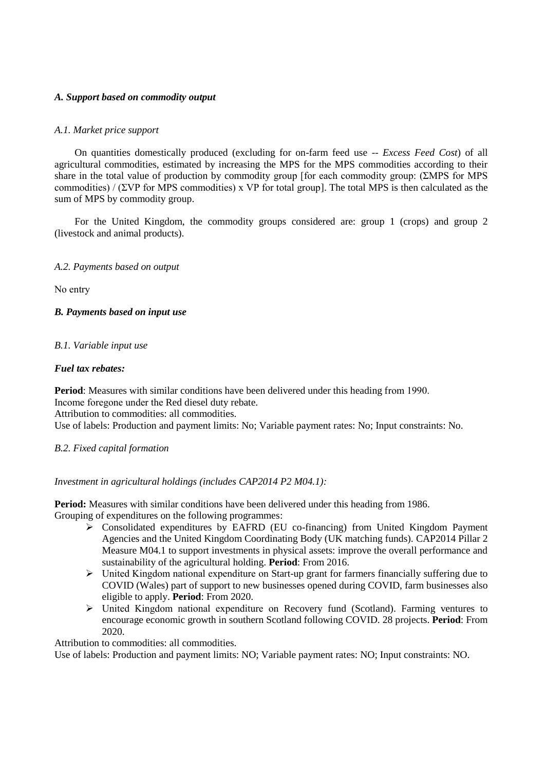# *A. Support based on commodity output*

## *A.1. Market price support*

On quantities domestically produced (excluding for on-farm feed use -- *Excess Feed Cost*) of all agricultural commodities, estimated by increasing the MPS for the MPS commodities according to their share in the total value of production by commodity group [for each commodity group: (ΣMPS for MPS commodities) / (ΣVP for MPS commodities) x VP for total group]. The total MPS is then calculated as the sum of MPS by commodity group.

For the United Kingdom, the commodity groups considered are: group 1 (crops) and group 2 (livestock and animal products).

## *A.2. Payments based on output*

No entry

## *B. Payments based on input use*

## *B.1. Variable input use*

## *Fuel tax rebates:*

**Period**: Measures with similar conditions have been delivered under this heading from 1990. Income foregone under the Red diesel duty rebate.

Attribution to commodities: all commodities.

Use of labels: Production and payment limits: No; Variable payment rates: No; Input constraints: No.

## *B.2. Fixed capital formation*

*Investment in agricultural holdings (includes CAP2014 P2 M04.1):* 

**Period:** Measures with similar conditions have been delivered under this heading from 1986. Grouping of expenditures on the following programmes:

- $\triangleright$  Consolidated expenditures by EAFRD (EU co-financing) from United Kingdom Payment Agencies and the United Kingdom Coordinating Body (UK matching funds). CAP2014 Pillar 2 Measure M04.1 to support investments in physical assets: improve the overall performance and sustainability of the agricultural holding. **Period**: From 2016.
- $\triangleright$  United Kingdom national expenditure on Start-up grant for farmers financially suffering due to COVID (Wales) part of support to new businesses opened during COVID, farm businesses also eligible to apply. **Period**: From 2020.
- $\triangleright$  United Kingdom national expenditure on Recovery fund (Scotland). Farming ventures to encourage economic growth in southern Scotland following COVID. 28 projects. **Period**: From 2020.

Attribution to commodities: all commodities.

Use of labels: Production and payment limits: NO; Variable payment rates: NO; Input constraints: NO.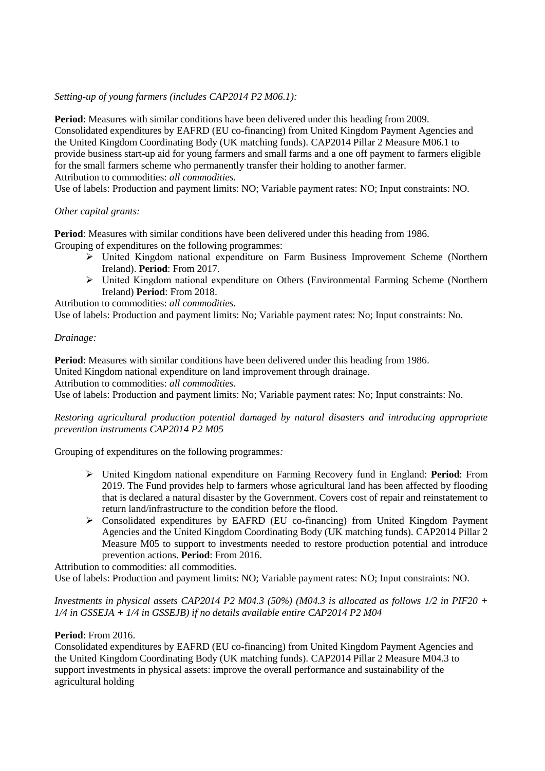# *Setting-up of young farmers (includes CAP2014 P2 M06.1):*

**Period**: Measures with similar conditions have been delivered under this heading from 2009. Consolidated expenditures by EAFRD (EU co-financing) from United Kingdom Payment Agencies and the United Kingdom Coordinating Body (UK matching funds). CAP2014 Pillar 2 Measure M06.1 to provide business start-up aid for young farmers and small farms and a one off payment to farmers eligible for the small farmers scheme who permanently transfer their holding to another farmer. Attribution to commodities: *all commodities.*

Use of labels: Production and payment limits: NO; Variable payment rates: NO; Input constraints: NO.

# *Other capital grants:*

**Period**: Measures with similar conditions have been delivered under this heading from 1986. Grouping of expenditures on the following programmes:

- $\geq$  United Kingdom national expenditure on Farm Business Improvement Scheme (Northern Ireland). **Period**: From 2017.
- United Kingdom national expenditure on Others (Environmental Farming Scheme (Northern Ireland) **Period**: From 2018.

Attribution to commodities: *all commodities.*

Use of labels: Production and payment limits: No; Variable payment rates: No; Input constraints: No.

# *Drainage:*

**Period**: Measures with similar conditions have been delivered under this heading from 1986. United Kingdom national expenditure on land improvement through drainage.

Attribution to commodities: *all commodities.*

Use of labels: Production and payment limits: No; Variable payment rates: No; Input constraints: No.

# *Restoring agricultural production potential damaged by natural disasters and introducing appropriate prevention instruments CAP2014 P2 M05*

Grouping of expenditures on the following programmes*:* 

- United Kingdom national expenditure on Farming Recovery fund in England: **Period**: From 2019. The Fund provides help to farmers whose agricultural land has been affected by flooding that is declared a natural disaster by the Government. Covers cost of repair and reinstatement to return land/infrastructure to the condition before the flood.
- Consolidated expenditures by EAFRD (EU co-financing) from United Kingdom Payment Agencies and the United Kingdom Coordinating Body (UK matching funds). CAP2014 Pillar 2 Measure M05 to support to investments needed to restore production potential and introduce prevention actions. **Period**: From 2016.

Attribution to commodities: all commodities. Use of labels: Production and payment limits: NO; Variable payment rates: NO; Input constraints: NO.

# *Investments in physical assets CAP2014 P2 M04.3 (50%) (M04.3 is allocated as follows 1/2 in PIF20 + 1/4 in GSSEJA + 1/4 in GSSEJB) if no details available entire CAP2014 P2 M04*

## **Period**: From 2016.

Consolidated expenditures by EAFRD (EU co-financing) from United Kingdom Payment Agencies and the United Kingdom Coordinating Body (UK matching funds). CAP2014 Pillar 2 Measure M04.3 to support investments in physical assets: improve the overall performance and sustainability of the agricultural holding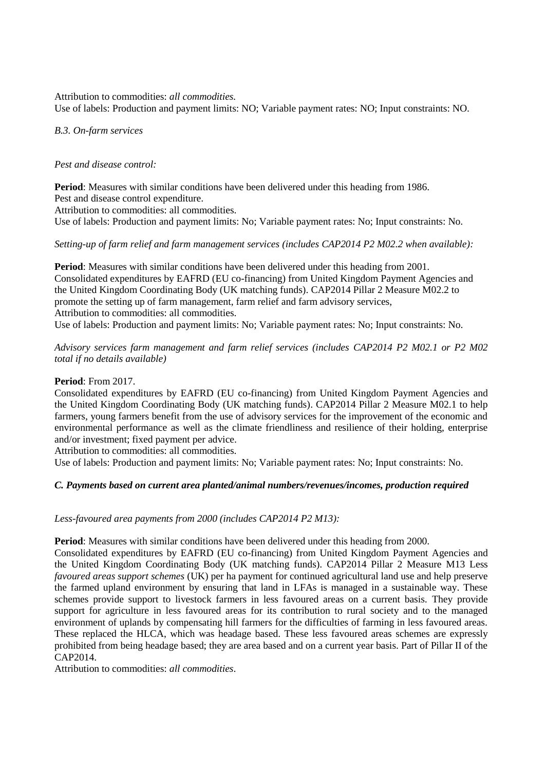Attribution to commodities: *all commodities.*

Use of labels: Production and payment limits: NO; Variable payment rates: NO; Input constraints: NO.

## *B.3. On-farm services*

## *Pest and disease control:*

**Period**: Measures with similar conditions have been delivered under this heading from 1986. Pest and disease control expenditure.

Attribution to commodities: all commodities.

Use of labels: Production and payment limits: No; Variable payment rates: No; Input constraints: No.

# *Setting-up of farm relief and farm management services (includes CAP2014 P2 M02.2 when available):*

**Period**: Measures with similar conditions have been delivered under this heading from 2001. Consolidated expenditures by EAFRD (EU co-financing) from United Kingdom Payment Agencies and the United Kingdom Coordinating Body (UK matching funds). CAP2014 Pillar 2 Measure M02.2 to promote the setting up of farm management, farm relief and farm advisory services, Attribution to commodities: all commodities.

Use of labels: Production and payment limits: No; Variable payment rates: No; Input constraints: No.

*Advisory services farm management and farm relief services (includes CAP2014 P2 M02.1 or P2 M02 total if no details available)*

## **Period**: From 2017.

Consolidated expenditures by EAFRD (EU co-financing) from United Kingdom Payment Agencies and the United Kingdom Coordinating Body (UK matching funds). CAP2014 Pillar 2 Measure M02.1 to help farmers, young farmers benefit from the use of advisory services for the improvement of the economic and environmental performance as well as the climate friendliness and resilience of their holding, enterprise and/or investment; fixed payment per advice.

Attribution to commodities: all commodities.

Use of labels: Production and payment limits: No; Variable payment rates: No; Input constraints: No.

# *C. Payments based on current area planted/animal numbers/revenues/incomes, production required*

## *Less-favoured area payments from 2000 (includes CAP2014 P2 M13):*

**Period**: Measures with similar conditions have been delivered under this heading from 2000.

Consolidated expenditures by EAFRD (EU co-financing) from United Kingdom Payment Agencies and the United Kingdom Coordinating Body (UK matching funds). CAP2014 Pillar 2 Measure M13 Less *favoured areas support schemes* (UK) per ha payment for continued agricultural land use and help preserve the farmed upland environment by ensuring that land in LFAs is managed in a sustainable way. These schemes provide support to livestock farmers in less favoured areas on a current basis. They provide support for agriculture in less favoured areas for its contribution to rural society and to the managed environment of uplands by compensating hill farmers for the difficulties of farming in less favoured areas. These replaced the HLCA, which was headage based. These less favoured areas schemes are expressly prohibited from being headage based; they are area based and on a current year basis. Part of Pillar II of the CAP2014.

Attribution to commodities: *all commodities*.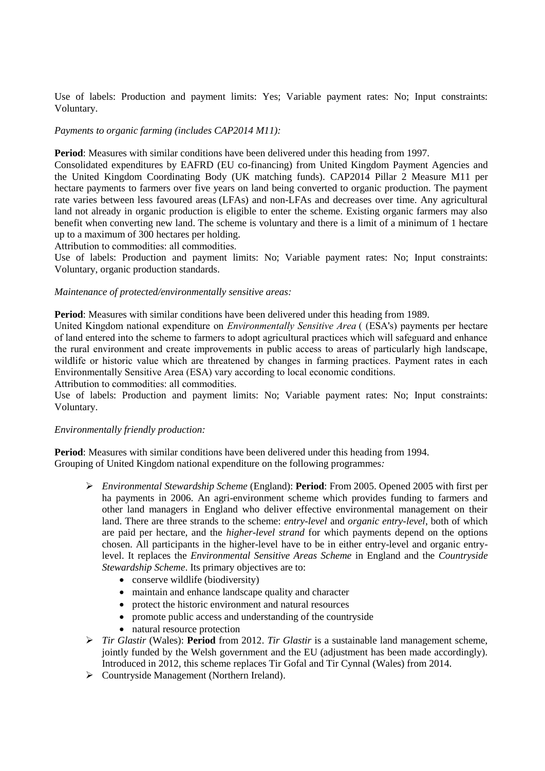Use of labels: Production and payment limits: Yes; Variable payment rates: No; Input constraints: Voluntary.

## *Payments to organic farming (includes CAP2014 M11):*

**Period**: Measures with similar conditions have been delivered under this heading from 1997.

Consolidated expenditures by EAFRD (EU co-financing) from United Kingdom Payment Agencies and the United Kingdom Coordinating Body (UK matching funds). CAP2014 Pillar 2 Measure M11 per hectare payments to farmers over five years on land being converted to organic production. The payment rate varies between less favoured areas (LFAs) and non-LFAs and decreases over time. Any agricultural land not already in organic production is eligible to enter the scheme. Existing organic farmers may also benefit when converting new land. The scheme is voluntary and there is a limit of a minimum of 1 hectare up to a maximum of 300 hectares per holding.

Attribution to commodities: all commodities.

Use of labels: Production and payment limits: No; Variable payment rates: No; Input constraints: Voluntary, organic production standards.

#### *Maintenance of protected/environmentally sensitive areas:*

**Period**: Measures with similar conditions have been delivered under this heading from 1989.

United Kingdom national expenditure on *Environmentally Sensitive Area* ( (ESA's) payments per hectare of land entered into the scheme to farmers to adopt agricultural practices which will safeguard and enhance the rural environment and create improvements in public access to areas of particularly high landscape, wildlife or historic value which are threatened by changes in farming practices. Payment rates in each Environmentally Sensitive Area (ESA) vary according to local economic conditions.

Attribution to commodities: all commodities.

Use of labels: Production and payment limits: No; Variable payment rates: No; Input constraints: Voluntary.

#### *Environmentally friendly production:*

**Period**: Measures with similar conditions have been delivered under this heading from 1994. Grouping of United Kingdom national expenditure on the following programmes*:* 

- *Environmental Stewardship Scheme* (England): **Period**: From 2005. Opened 2005 with first per ha payments in 2006. An agri-environment scheme which provides funding to farmers and other land managers in England who deliver effective environmental management on their land. There are three strands to the scheme: *entry-level* and *organic entry-level*, both of which are paid per hectare, and the *higher-level strand* for which payments depend on the options chosen. All participants in the higher-level have to be in either entry-level and organic entrylevel. It replaces the *Environmental Sensitive Areas Scheme* in England and the *Countryside Stewardship Scheme*. Its primary objectives are to:
	- conserve wildlife (biodiversity)
	- maintain and enhance landscape quality and character
	- protect the historic environment and natural resources
	- promote public access and understanding of the countryside
	- natural resource protection
- *Tir Glastir* (Wales): **Period** from 2012. *Tir Glastir* is a sustainable land management scheme, jointly funded by the Welsh government and the EU (adjustment has been made accordingly). Introduced in 2012, this scheme replaces Tir Gofal and Tir Cynnal (Wales) from 2014.
- Countryside Management (Northern Ireland).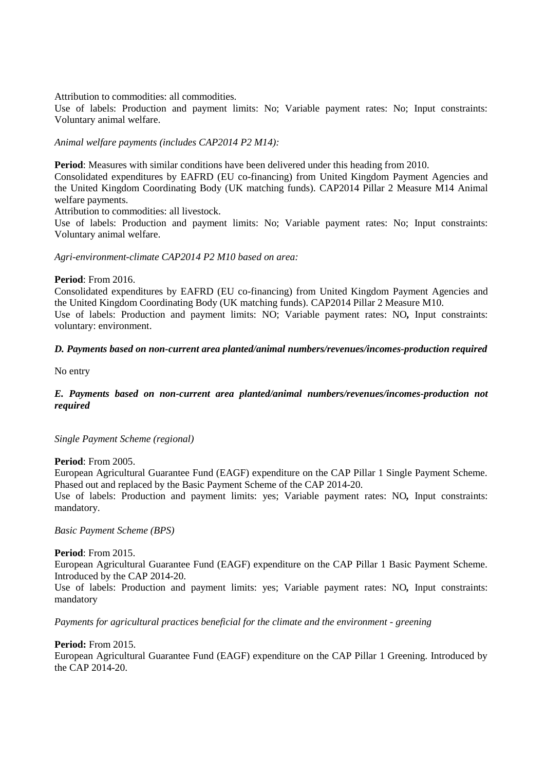Attribution to commodities: all commodities.

Use of labels: Production and payment limits: No; Variable payment rates: No; Input constraints: Voluntary animal welfare.

## *Animal welfare payments (includes CAP2014 P2 M14):*

**Period**: Measures with similar conditions have been delivered under this heading from 2010.

Consolidated expenditures by EAFRD (EU co-financing) from United Kingdom Payment Agencies and the United Kingdom Coordinating Body (UK matching funds). CAP2014 Pillar 2 Measure M14 Animal welfare payments.

Attribution to commodities: all livestock.

Use of labels: Production and payment limits: No; Variable payment rates: No; Input constraints: Voluntary animal welfare.

*Agri-environment-climate CAP2014 P2 M10 based on area:*

## **Period**: From 2016.

Consolidated expenditures by EAFRD (EU co-financing) from United Kingdom Payment Agencies and the United Kingdom Coordinating Body (UK matching funds). CAP2014 Pillar 2 Measure M10. Use of labels: Production and payment limits: NO; Variable payment rates: NO*,* Input constraints: voluntary: environment.

## *D. Payments based on non-current area planted/animal numbers/revenues/incomes-production required*

No entry

# *E. Payments based on non-current area planted/animal numbers/revenues/incomes-production not required*

## *Single Payment Scheme (regional)*

#### **Period**: From 2005.

European Agricultural Guarantee Fund (EAGF) expenditure on the CAP Pillar 1 Single Payment Scheme. Phased out and replaced by the Basic Payment Scheme of the CAP 2014-20.

Use of labels: Production and payment limits: yes; Variable payment rates: NO*,* Input constraints: mandatory.

*Basic Payment Scheme (BPS)*

## **Period**: From 2015.

European Agricultural Guarantee Fund (EAGF) expenditure on the CAP Pillar 1 Basic Payment Scheme. Introduced by the CAP 2014-20.

Use of labels: Production and payment limits: yes; Variable payment rates: NO*,* Input constraints: mandatory

*Payments for agricultural practices beneficial for the climate and the environment - greening*

**Period:** From 2015.

European Agricultural Guarantee Fund (EAGF) expenditure on the CAP Pillar 1 Greening. Introduced by the CAP 2014-20.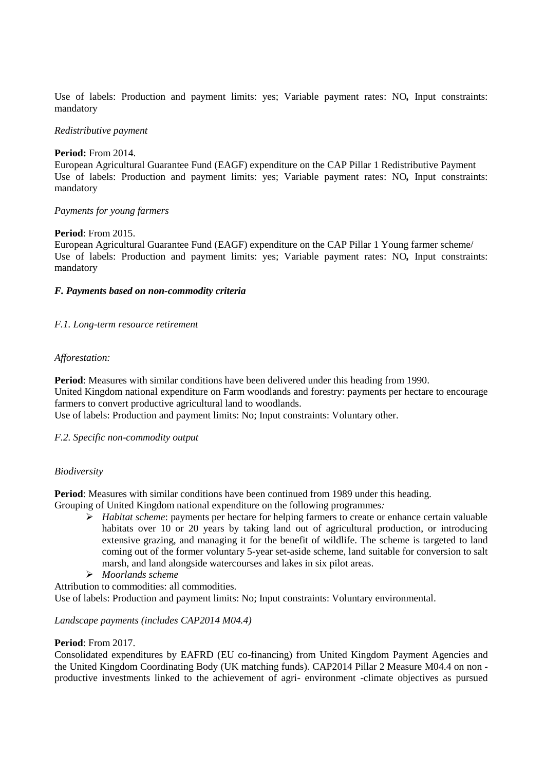Use of labels: Production and payment limits: yes; Variable payment rates: NO*,* Input constraints: mandatory

#### *Redistributive payment*

#### **Period:** From 2014.

European Agricultural Guarantee Fund (EAGF) expenditure on the CAP Pillar 1 Redistributive Payment Use of labels: Production and payment limits: yes; Variable payment rates: NO*,* Input constraints: mandatory

## *Payments for young farmers*

## **Period**: From 2015.

European Agricultural Guarantee Fund (EAGF) expenditure on the CAP Pillar 1 Young farmer scheme/ Use of labels: Production and payment limits: yes; Variable payment rates: NO*,* Input constraints: mandatory

## *F. Payments based on non-commodity criteria*

## *F.1. Long-term resource retirement*

## *Afforestation:*

**Period**: Measures with similar conditions have been delivered under this heading from 1990. United Kingdom national expenditure on Farm woodlands and forestry: payments per hectare to encourage farmers to convert productive agricultural land to woodlands.

Use of labels: Production and payment limits: No; Input constraints: Voluntary other.

## *F.2. Specific non-commodity output*

## *Biodiversity*

Period: Measures with similar conditions have been continued from 1989 under this heading.

Grouping of United Kingdom national expenditure on the following programmes*:* 

- *Habitat scheme*: payments per hectare for helping farmers to create or enhance certain valuable habitats over 10 or 20 years by taking land out of agricultural production, or introducing extensive grazing, and managing it for the benefit of wildlife. The scheme is targeted to land coming out of the former voluntary 5-year set-aside scheme, land suitable for conversion to salt marsh, and land alongside watercourses and lakes in six pilot areas.
- *Moorlands scheme*

Attribution to commodities: all commodities. Use of labels: Production and payment limits: No; Input constraints: Voluntary environmental.

# *Landscape payments (includes CAP2014 M04.4)*

## **Period**: From 2017.

Consolidated expenditures by EAFRD (EU co-financing) from United Kingdom Payment Agencies and the United Kingdom Coordinating Body (UK matching funds). CAP2014 Pillar 2 Measure M04.4 on non productive investments linked to the achievement of agri- environment -climate objectives as pursued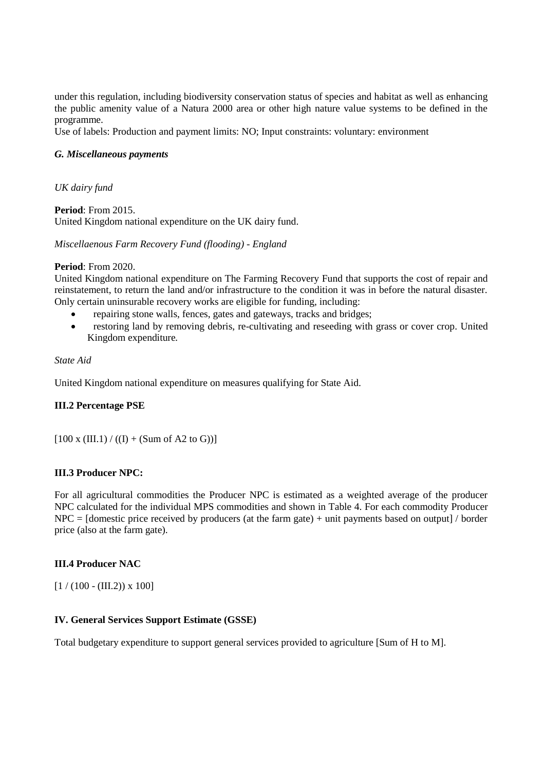under this regulation, including biodiversity conservation status of species and habitat as well as enhancing the public amenity value of a Natura 2000 area or other high nature value systems to be defined in the programme.

Use of labels: Production and payment limits: NO; Input constraints: voluntary: environment

## *G. Miscellaneous payments*

*UK dairy fund*

**Period**: From 2015. United Kingdom national expenditure on the UK dairy fund.

*Miscellaenous Farm Recovery Fund (flooding) - England*

#### **Period**: From 2020.

United Kingdom national expenditure on The Farming Recovery Fund that supports the cost of repair and reinstatement, to return the land and/or infrastructure to the condition it was in before the natural disaster. Only certain uninsurable recovery works are eligible for funding, including:

- repairing stone walls, fences, gates and gateways, tracks and bridges;
- restoring land by removing debris, re-cultivating and reseeding with grass or cover crop. United Kingdom expenditure**.**

*State Aid* 

United Kingdom national expenditure on measures qualifying for State Aid.

## **III.2 Percentage PSE**

 $[100 \times (III.1) / ((I) + (Sum of A2 to G))]$ 

## **III.3 Producer NPC:**

For all agricultural commodities the Producer NPC is estimated as a weighted average of the producer NPC calculated for the individual MPS commodities and shown in Table 4. For each commodity Producer  $NPC =$  [domestic price received by producers (at the farm gate) + unit payments based on output] / border price (also at the farm gate).

## **III.4 Producer NAC**

 $[1 / (100 - (III.2)) \times 100]$ 

## **IV. General Services Support Estimate (GSSE)**

Total budgetary expenditure to support general services provided to agriculture [Sum of H to M].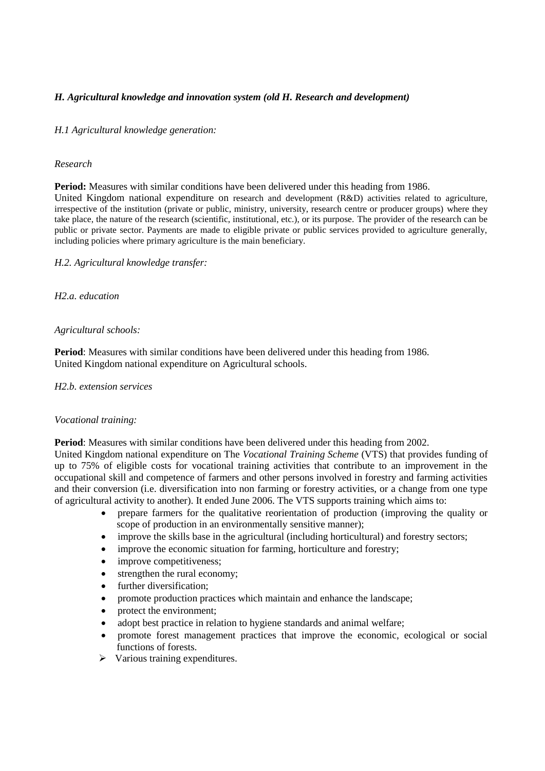# *H. Agricultural knowledge and innovation system (old H. Research and development)*

## *H.1 Agricultural knowledge generation:*

#### *Research*

**Period:** Measures with similar conditions have been delivered under this heading from 1986. United Kingdom national expenditure on research and development (R&D) activities related to agriculture, irrespective of the institution (private or public, ministry, university, research centre or producer groups) where they take place, the nature of the research (scientific, institutional, etc.), or its purpose. The provider of the research can be public or private sector. Payments are made to eligible private or public services provided to agriculture generally, including policies where primary agriculture is the main beneficiary.

*H.2. Agricultural knowledge transfer:*

*H2.a. education*

## *Agricultural schools:*

**Period**: Measures with similar conditions have been delivered under this heading from 1986. United Kingdom national expenditure on Agricultural schools.

#### *H2.b. extension services*

## *Vocational training:*

**Period**: Measures with similar conditions have been delivered under this heading from 2002.

United Kingdom national expenditure on The *Vocational Training Scheme* (VTS) that provides funding of up to 75% of eligible costs for vocational training activities that contribute to an improvement in the occupational skill and competence of farmers and other persons involved in forestry and farming activities and their conversion (i.e. diversification into non farming or forestry activities, or a change from one type of agricultural activity to another). It ended June 2006. The VTS supports training which aims to:

- prepare farmers for the qualitative reorientation of production (improving the quality or scope of production in an environmentally sensitive manner);
- improve the skills base in the agricultural (including horticultural) and forestry sectors;
- improve the economic situation for farming, horticulture and forestry;
- improve competitiveness;
- strengthen the rural economy;
- further diversification;
- promote production practices which maintain and enhance the landscape:
- protect the environment;
- adopt best practice in relation to hygiene standards and animal welfare;
- promote forest management practices that improve the economic, ecological or social functions of forests.
- $\triangleright$  Various training expenditures.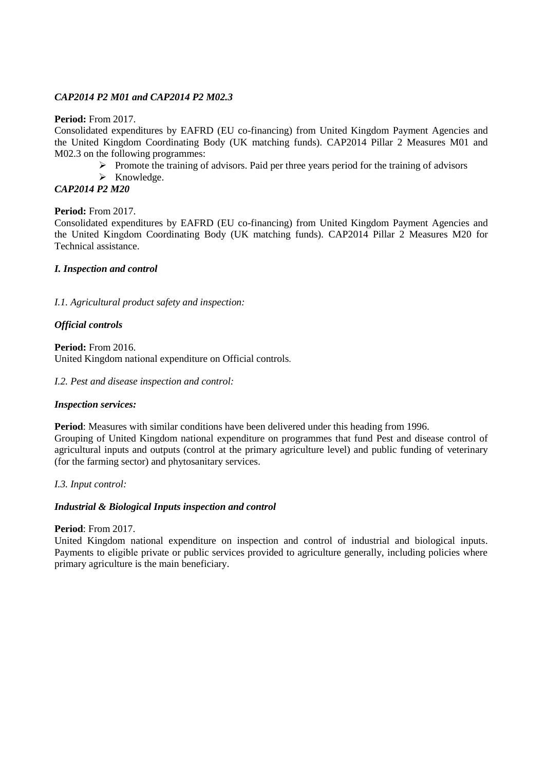# *CAP2014 P2 M01 and CAP2014 P2 M02.3*

## **Period:** From 2017.

Consolidated expenditures by EAFRD (EU co-financing) from United Kingdom Payment Agencies and the United Kingdom Coordinating Body (UK matching funds). CAP2014 Pillar 2 Measures M01 and M02.3 on the following programmes:

- $\triangleright$  Promote the training of advisors. Paid per three years period for the training of advisors
- $\triangleright$  Knowledge.
- *CAP2014 P2 M20*

## **Period:** From 2017.

Consolidated expenditures by EAFRD (EU co-financing) from United Kingdom Payment Agencies and the United Kingdom Coordinating Body (UK matching funds). CAP2014 Pillar 2 Measures M20 for Technical assistance.

# *I. Inspection and control*

*I.1. Agricultural product safety and inspection:*

# *Official controls*

**Period:** From 2016. United Kingdom national expenditure on Official controls.

## *I.2. Pest and disease inspection and control:*

## *Inspection services:*

**Period**: Measures with similar conditions have been delivered under this heading from 1996. Grouping of United Kingdom national expenditure on programmes that fund Pest and disease control of agricultural inputs and outputs (control at the primary agriculture level) and public funding of veterinary

*I.3. Input control:*

## *Industrial & Biological Inputs inspection and control*

(for the farming sector) and phytosanitary services.

## **Period**: From 2017.

United Kingdom national expenditure on inspection and control of industrial and biological inputs. Payments to eligible private or public services provided to agriculture generally, including policies where primary agriculture is the main beneficiary.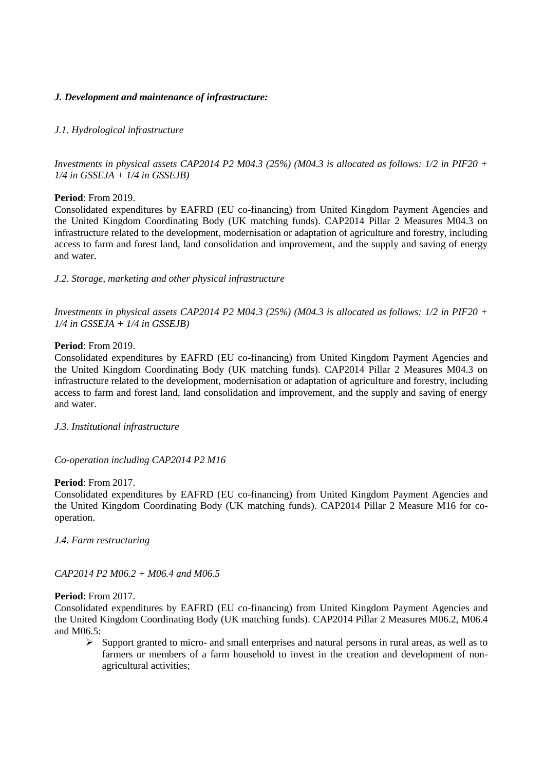# *J. Development and maintenance of infrastructure:*

# *J.1. Hydrological infrastructure*

*Investments in physical assets CAP2014 P2 M04.3 (25%) (M04.3 is allocated as follows: 1/2 in PIF20 + 1/4 in GSSEJA + 1/4 in GSSEJB)*

**Period**: From 2019.

Consolidated expenditures by EAFRD (EU co-financing) from United Kingdom Payment Agencies and the United Kingdom Coordinating Body (UK matching funds). CAP2014 Pillar 2 Measures M04.3 on infrastructure related to the development, modernisation or adaptation of agriculture and forestry, including access to farm and forest land, land consolidation and improvement, and the supply and saving of energy and water.

*J.2. Storage, marketing and other physical infrastructure*

*Investments in physical assets CAP2014 P2 M04.3 (25%) (M04.3 is allocated as follows: 1/2 in PIF20 + 1/4 in GSSEJA + 1/4 in GSSEJB)*

## **Period**: From 2019.

Consolidated expenditures by EAFRD (EU co-financing) from United Kingdom Payment Agencies and the United Kingdom Coordinating Body (UK matching funds). CAP2014 Pillar 2 Measures M04.3 on infrastructure related to the development, modernisation or adaptation of agriculture and forestry, including access to farm and forest land, land consolidation and improvement, and the supply and saving of energy and water.

*J.3. Institutional infrastructure*

## *Co-operation including CAP2014 P2 M16*

#### **Period**: From 2017.

Consolidated expenditures by EAFRD (EU co-financing) from United Kingdom Payment Agencies and the United Kingdom Coordinating Body (UK matching funds). CAP2014 Pillar 2 Measure M16 for cooperation.

*J.4. Farm restructuring*

*CAP2014 P2 M06.2 + M06.4 and M06.5*

## **Period**: From 2017.

Consolidated expenditures by EAFRD (EU co-financing) from United Kingdom Payment Agencies and the United Kingdom Coordinating Body (UK matching funds). CAP2014 Pillar 2 Measures M06.2, M06.4 and M06.5:

 $\triangleright$  Support granted to micro- and small enterprises and natural persons in rural areas, as well as to farmers or members of a farm household to invest in the creation and development of nonagricultural activities;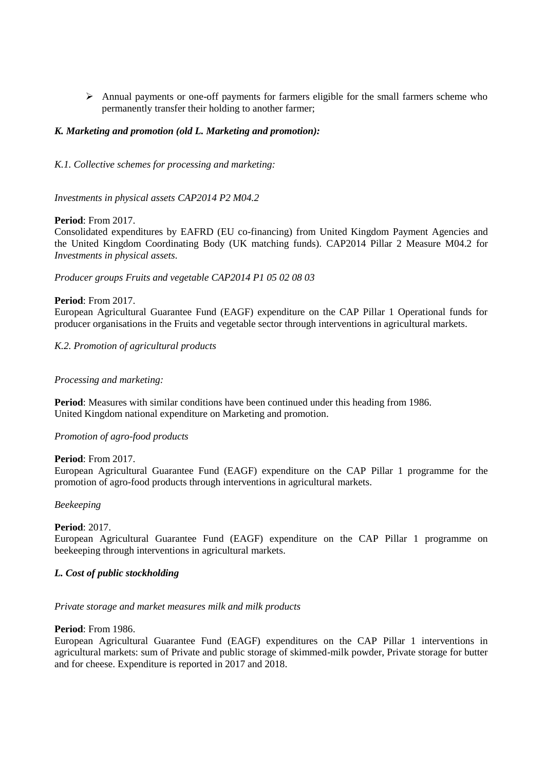$\triangleright$  Annual payments or one-off payments for farmers eligible for the small farmers scheme who permanently transfer their holding to another farmer;

## *K. Marketing and promotion (old L. Marketing and promotion):*

*K.1. Collective schemes for processing and marketing:*

*Investments in physical assets CAP2014 P2 M04.2*

## **Period**: From 2017.

Consolidated expenditures by EAFRD (EU co-financing) from United Kingdom Payment Agencies and the United Kingdom Coordinating Body (UK matching funds). CAP2014 Pillar 2 Measure M04.2 for *Investments in physical assets.*

*Producer groups Fruits and vegetable CAP2014 P1 05 02 08 03*

## **Period**: From 2017.

European Agricultural Guarantee Fund (EAGF) expenditure on the CAP Pillar 1 Operational funds for producer organisations in the Fruits and vegetable sector through interventions in agricultural markets.

## *K.2. Promotion of agricultural products*

## *Processing and marketing:*

**Period**: Measures with similar conditions have been continued under this heading from 1986. United Kingdom national expenditure on Marketing and promotion.

## *Promotion of agro-food products*

#### **Period**: From 2017.

European Agricultural Guarantee Fund (EAGF) expenditure on the CAP Pillar 1 programme for the promotion of agro-food products through interventions in agricultural markets.

#### *Beekeeping*

## **Period**: 2017.

European Agricultural Guarantee Fund (EAGF) expenditure on the CAP Pillar 1 programme on beekeeping through interventions in agricultural markets.

## *L. Cost of public stockholding*

#### *Private storage and market measures milk and milk products*

#### **Period**: From 1986.

European Agricultural Guarantee Fund (EAGF) expenditures on the CAP Pillar 1 interventions in agricultural markets: sum of Private and public storage of skimmed-milk powder, Private storage for butter and for cheese. Expenditure is reported in 2017 and 2018.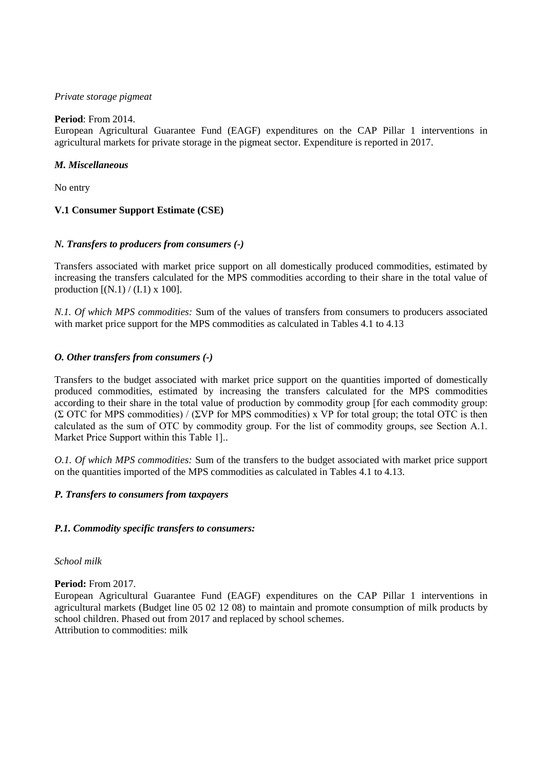## *Private storage pigmeat*

# **Period**: From 2014.

European Agricultural Guarantee Fund (EAGF) expenditures on the CAP Pillar 1 interventions in agricultural markets for private storage in the pigmeat sector. Expenditure is reported in 2017.

# *M. Miscellaneous*

No entry

# **V.1 Consumer Support Estimate (CSE)**

# *N. Transfers to producers from consumers (-)*

Transfers associated with market price support on all domestically produced commodities, estimated by increasing the transfers calculated for the MPS commodities according to their share in the total value of production  $[(N.1) / (I.1) \times 100]$ .

*N.1. Of which MPS commodities:* Sum of the values of transfers from consumers to producers associated with market price support for the MPS commodities as calculated in Tables 4.1 to 4.13

# *O. Other transfers from consumers (-)*

Transfers to the budget associated with market price support on the quantities imported of domestically produced commodities, estimated by increasing the transfers calculated for the MPS commodities according to their share in the total value of production by commodity group [for each commodity group: (Σ OTC for MPS commodities) / (ΣVP for MPS commodities) x VP for total group; the total OTC is then calculated as the sum of OTC by commodity group. For the list of commodity groups, see Section A.1. Market Price Support within this Table 1]..

*O.1. Of which MPS commodities:* Sum of the transfers to the budget associated with market price support on the quantities imported of the MPS commodities as calculated in Tables 4.1 to 4.13.

# *P. Transfers to consumers from taxpayers*

## *P.1. Commodity specific transfers to consumers:*

## *School milk*

**Period:** From 2017.

European Agricultural Guarantee Fund (EAGF) expenditures on the CAP Pillar 1 interventions in agricultural markets (Budget line 05 02 12 08) to maintain and promote consumption of milk products by school children. Phased out from 2017 and replaced by school schemes. Attribution to commodities: milk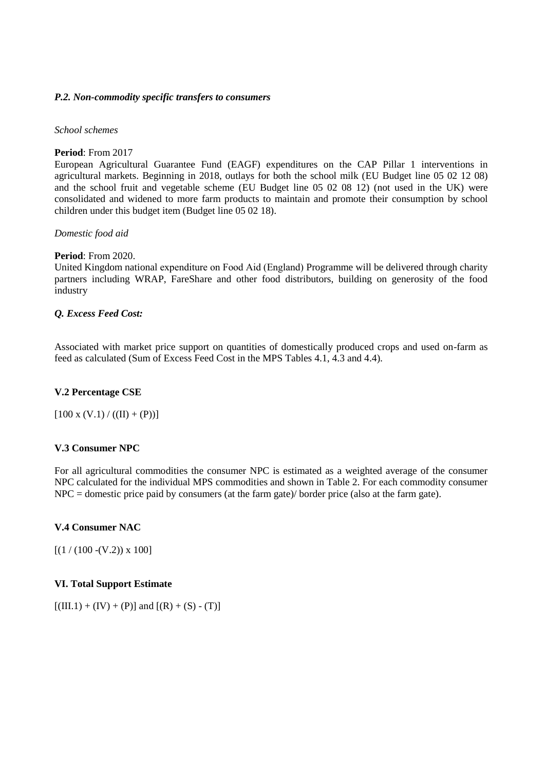## *P.2. Non-commodity specific transfers to consumers*

#### *School schemes*

## **Period**: From 2017

European Agricultural Guarantee Fund (EAGF) expenditures on the CAP Pillar 1 interventions in agricultural markets. Beginning in 2018, outlays for both the school milk (EU Budget line 05 02 12 08) and the school fruit and vegetable scheme (EU Budget line 05 02 08 12) (not used in the UK) were consolidated and widened to more farm products to maintain and promote their consumption by school children under this budget item (Budget line 05 02 18).

## *Domestic food aid*

## **Period**: From 2020.

United Kingdom national expenditure on Food Aid (England) Programme will be delivered through charity partners including WRAP, FareShare and other food distributors, building on generosity of the food industry

## *Q. Excess Feed Cost:*

Associated with market price support on quantities of domestically produced crops and used on-farm as feed as calculated (Sum of Excess Feed Cost in the MPS Tables 4.1, 4.3 and 4.4).

## **V.2 Percentage CSE**

 $[100 \text{ x } (V.1) / ((II) + (P))]$ 

## **V.3 Consumer NPC**

For all agricultural commodities the consumer NPC is estimated as a weighted average of the consumer NPC calculated for the individual MPS commodities and shown in Table 2. For each commodity consumer NPC = domestic price paid by consumers (at the farm gate)/ border price (also at the farm gate).

## **V.4 Consumer NAC**

 $[(1 / (100 - (V.2)) \times 100]$ 

## **VI. Total Support Estimate**

 $[(III.1) + (IV) + (P)]$  and  $[(R) + (S) - (T)]$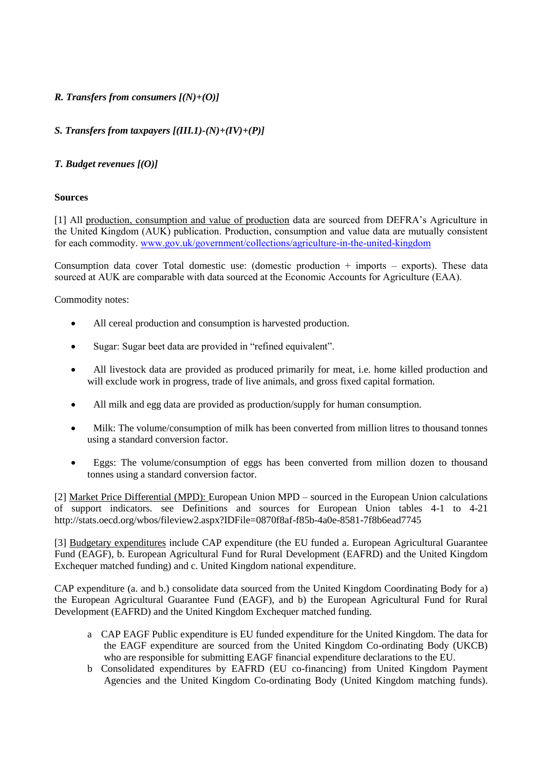# *R. Transfers from consumers [(N)+(O)]*

# *S. Transfers from taxpayers [(III.1)-(N)+(IV)+(P)]*

# *T. Budget revenues [(O)]*

## **Sources**

[1] All production, consumption and value of production data are sourced from DEFRA's Agriculture in the United Kingdom (AUK) publication. Production, consumption and value data are mutually consistent for each commodity. [www.gov.uk/government/collections/agriculture-in-the-united-kingdom](https://eur02.safelinks.protection.outlook.com/?url=http%3A%2F%2Fwww.gov.uk%2Fgovernment%2Fcollections%2Fagriculture-in-the-united-kingdom&data=04%7C01%7CMorvarid.BAGHERZADEH%40oecd.org%7C3bf8f3b091424a3c875f08d9743a8cc6%7Cac41c7d41f61460db0f4fc925a2b471c%7C0%7C0%7C637668617089649458%7CUnknown%7CTWFpbGZsb3d8eyJWIjoiMC4wLjAwMDAiLCJQIjoiV2luMzIiLCJBTiI6Ik1haWwiLCJXVCI6Mn0%3D%7C1000&sdata=5VJtZFV3blNmhFnrUJdZckeA3ykVuheUxQRJFLHIM9Y%3D&reserved=0)

Consumption data cover Total domestic use: (domestic production  $+$  imports  $-$  exports). These data sourced at AUK are comparable with data sourced at the Economic Accounts for Agriculture (EAA).

Commodity notes:

- All cereal production and consumption is harvested production.
- Sugar: Sugar beet data are provided in "refined equivalent".
- All livestock data are provided as produced primarily for meat, i.e. home killed production and will exclude work in progress, trade of live animals, and gross fixed capital formation.
- All milk and egg data are provided as production/supply for human consumption.
- Milk: The volume/consumption of milk has been converted from million litres to thousand tonnes using a standard conversion factor.
- Eggs: The volume/consumption of eggs has been converted from million dozen to thousand tonnes using a standard conversion factor.

[2] Market Price Differential (MPD): European Union MPD – sourced in the European Union calculations of support indicators. see Definitions and sources for European Union tables 4-1 to 4-21 http://stats.oecd.org/wbos/fileview2.aspx?IDFile=0870f8af-f85b-4a0e-8581-7f8b6ead7745

[3] Budgetary expenditures include CAP expenditure (the EU funded a. European Agricultural Guarantee Fund (EAGF), b. European Agricultural Fund for Rural Development (EAFRD) and the United Kingdom Exchequer matched funding) and c. United Kingdom national expenditure.

CAP expenditure (a. and b.) consolidate data sourced from the United Kingdom Coordinating Body for a) the European Agricultural Guarantee Fund (EAGF), and b) the European Agricultural Fund for Rural Development (EAFRD) and the United Kingdom Exchequer matched funding.

- a CAP EAGF Public expenditure is EU funded expenditure for the United Kingdom. The data for the EAGF expenditure are sourced from the United Kingdom Co-ordinating Body (UKCB) who are responsible for submitting EAGF financial expenditure declarations to the EU.
- b Consolidated expenditures by EAFRD (EU co-financing) from United Kingdom Payment Agencies and the United Kingdom Co-ordinating Body (United Kingdom matching funds).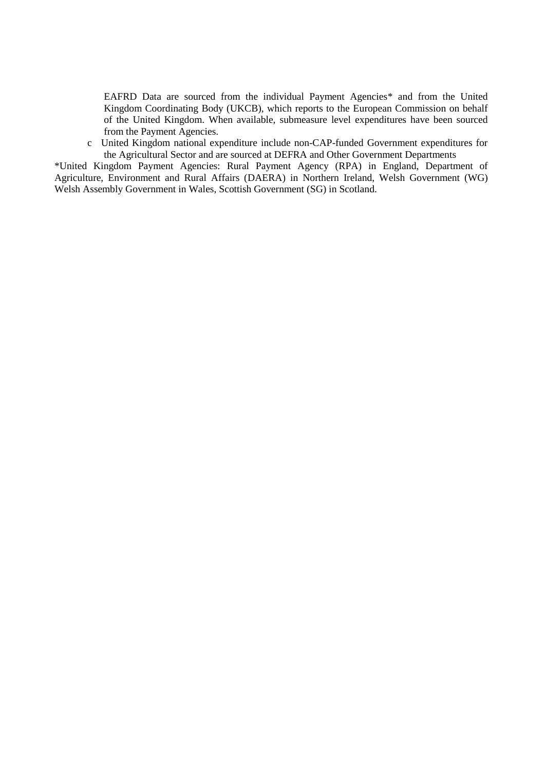EAFRD Data are sourced from the individual Payment Agencies\* and from the United Kingdom Coordinating Body (UKCB), which reports to the European Commission on behalf of the United Kingdom. When available, submeasure level expenditures have been sourced from the Payment Agencies.

c United Kingdom national expenditure include non-CAP-funded Government expenditures for the Agricultural Sector and are sourced at DEFRA and Other Government Departments

\*United Kingdom Payment Agencies: Rural Payment Agency (RPA) in England, Department of Agriculture, Environment and Rural Affairs (DAERA) in Northern Ireland, Welsh Government (WG) Welsh Assembly Government in Wales, Scottish Government (SG) in Scotland.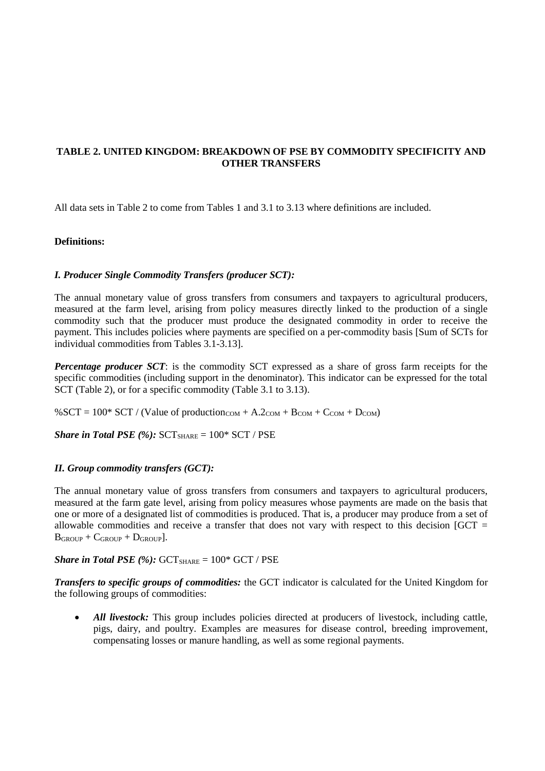# **TABLE 2. UNITED KINGDOM: BREAKDOWN OF PSE BY COMMODITY SPECIFICITY AND OTHER TRANSFERS**

All data sets in Table 2 to come from Tables 1 and 3.1 to 3.13 where definitions are included.

## **Definitions:**

## *I. Producer Single Commodity Transfers (producer SCT):*

The annual monetary value of gross transfers from consumers and taxpayers to agricultural producers, measured at the farm level, arising from policy measures directly linked to the production of a single commodity such that the producer must produce the designated commodity in order to receive the payment. This includes policies where payments are specified on a per-commodity basis [Sum of SCTs for individual commodities from Tables 3.1-3.13].

*Percentage producer SCT*: is the commodity SCT expressed as a share of gross farm receipts for the specific commodities (including support in the denominator). This indicator can be expressed for the total SCT (Table 2), or for a specific commodity (Table 3.1 to 3.13).

%SCT = 100\* SCT / (Value of production<sub>COM</sub> + A.2<sub>COM</sub> + B<sub>COM</sub> + C<sub>COM</sub> + D<sub>COM</sub>)

*Share in Total PSE (%): SCT*<sub>SHARE</sub> =  $100*$  SCT / PSE

## *II. Group commodity transfers (GCT):*

The annual monetary value of gross transfers from consumers and taxpayers to agricultural producers, measured at the farm gate level, arising from policy measures whose payments are made on the basis that one or more of a designated list of commodities is produced. That is, a producer may produce from a set of allowable commodities and receive a transfer that does not vary with respect to this decision  $IGCT =$  $B$ GROUP +  $C$ GROUP +  $D$ GROUP].

#### *Share in Total PSE (%):*  $GCT_{SHARE} = 100* GCT / PSE$

*Transfers to specific groups of commodities:* the GCT indicator is calculated for the United Kingdom for the following groups of commodities:

• *All livestock:* This group includes policies directed at producers of livestock, including cattle, pigs, dairy, and poultry. Examples are measures for disease control, breeding improvement, compensating losses or manure handling, as well as some regional payments.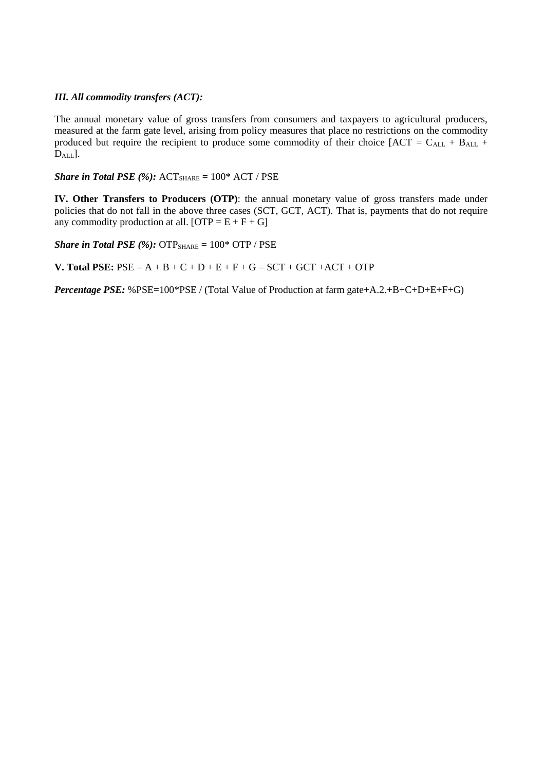# *III. All commodity transfers (ACT):*

The annual monetary value of gross transfers from consumers and taxpayers to agricultural producers, measured at the farm gate level, arising from policy measures that place no restrictions on the commodity produced but require the recipient to produce some commodity of their choice  $[ACT = C<sub>ALL</sub> + B<sub>ALL</sub> +$ D<sub>ALL</sub>].

*Share in Total PSE* (%):  $ACT_{SHARE} = 100*$   $ACT / PSE$ 

**IV. Other Transfers to Producers (OTP)**: the annual monetary value of gross transfers made under policies that do not fall in the above three cases (SCT, GCT, ACT). That is, payments that do not require any commodity production at all.  $[OTP = E + F + G]$ 

*Share in Total PSE*  $(\%)$ :  $\text{OTP}_{\text{SHARE}} = 100^* \text{ OTP} / \text{PSE}$ 

**V. Total PSE:**  $PSE = A + B + C + D + E + F + G = SCT + GCT + ACT + OTP$ 

*Percentage PSE:* %PSE=100\*PSE / (Total Value of Production at farm gate+A.2.+B+C+D+E+F+G)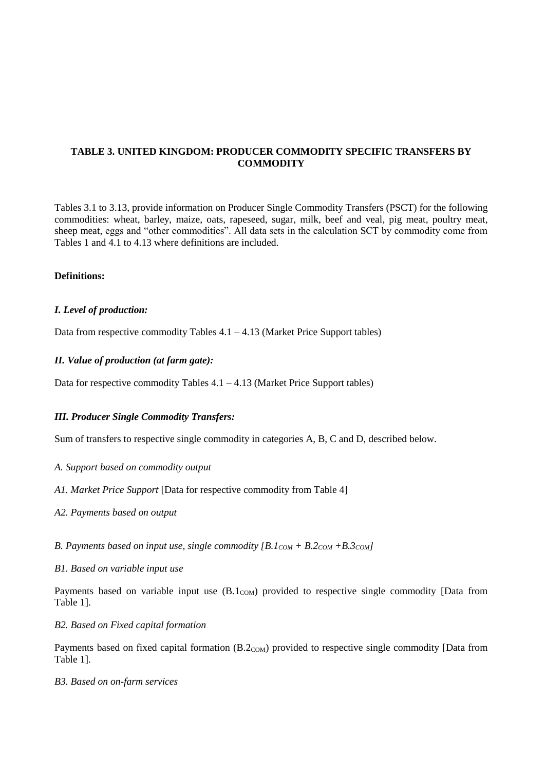# **TABLE 3. UNITED KINGDOM: PRODUCER COMMODITY SPECIFIC TRANSFERS BY COMMODITY**

Tables 3.1 to 3.13, provide information on Producer Single Commodity Transfers (PSCT) for the following commodities: wheat, barley, maize, oats, rapeseed, sugar, milk, beef and veal, pig meat, poultry meat, sheep meat, eggs and "other commodities". All data sets in the calculation SCT by commodity come from Tables 1 and 4.1 to 4.13 where definitions are included.

## **Definitions:**

## *I. Level of production:*

Data from respective commodity Tables  $4.1 - 4.13$  (Market Price Support tables)

## *II. Value of production (at farm gate):*

Data for respective commodity Tables  $4.1 - 4.13$  (Market Price Support tables)

## *III. Producer Single Commodity Transfers:*

Sum of transfers to respective single commodity in categories A, B, C and D, described below.

- *A. Support based on commodity output*
- *A1. Market Price Support* [Data for respective commodity from Table 4]
- *A2. Payments based on output*
- *B. Payments based on input use, single commodity*  $[B.1_{COM} + B.2_{COM} + B.3_{COM}]$

## *B1. Based on variable input use*

Payments based on variable input use  $(B.1_{COM})$  provided to respective single commodity [Data from Table 1].

#### *B2. Based on Fixed capital formation*

Payments based on fixed capital formation  $(B.2_{COM})$  provided to respective single commodity [Data from Table 1].

#### *B3. Based on on-farm services*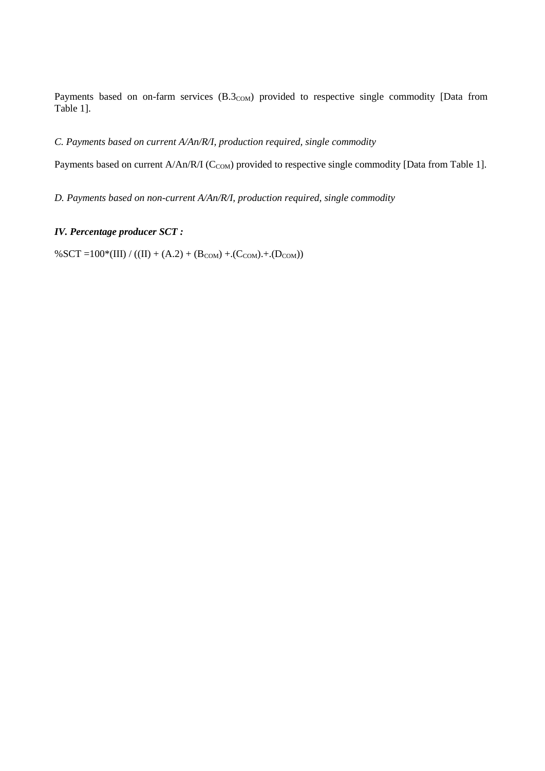Payments based on on-farm services  $(B.3_{COM})$  provided to respective single commodity [Data from Table 1].

# *C. Payments based on current A/An/R/I, production required, single commodity*

Payments based on current A/An/R/I (C<sub>COM</sub>) provided to respective single commodity [Data from Table 1].

*D. Payments based on non-current A/An/R/I, production required, single commodity*

# *IV. Percentage producer SCT :*

 $% SCT =100*(III) / ((II) + (A.2) + (B_{COM}) + (C_{COM}) + (D_{COM}))$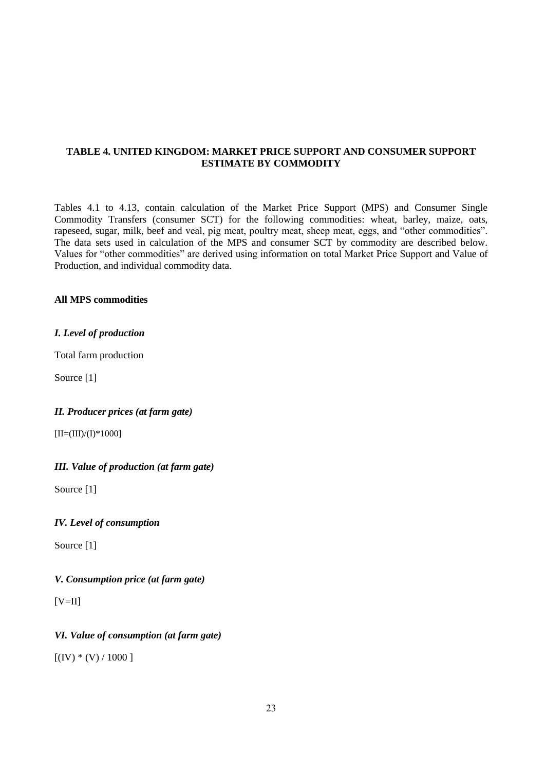## **TABLE 4. UNITED KINGDOM: MARKET PRICE SUPPORT AND CONSUMER SUPPORT ESTIMATE BY COMMODITY**

Tables 4.1 to 4.13, contain calculation of the Market Price Support (MPS) and Consumer Single Commodity Transfers (consumer SCT) for the following commodities: wheat, barley, maize, oats, rapeseed, sugar, milk, beef and veal, pig meat, poultry meat, sheep meat, eggs, and "other commodities". The data sets used in calculation of the MPS and consumer SCT by commodity are described below. Values for "other commodities" are derived using information on total Market Price Support and Value of Production, and individual commodity data.

## **All MPS commodities**

## *I. Level of production*

Total farm production

Source [1]

## *II. Producer prices (at farm gate)*

 $[II=(III)/(I)*1000]$ 

## *III. Value of production (at farm gate)*

Source [1]

## *IV. Level of consumption*

Source [1]

## *V. Consumption price (at farm gate)*

 $[V=II]$ 

## *VI. Value of consumption (at farm gate)*

 $[(IV) * (V) / 1000]$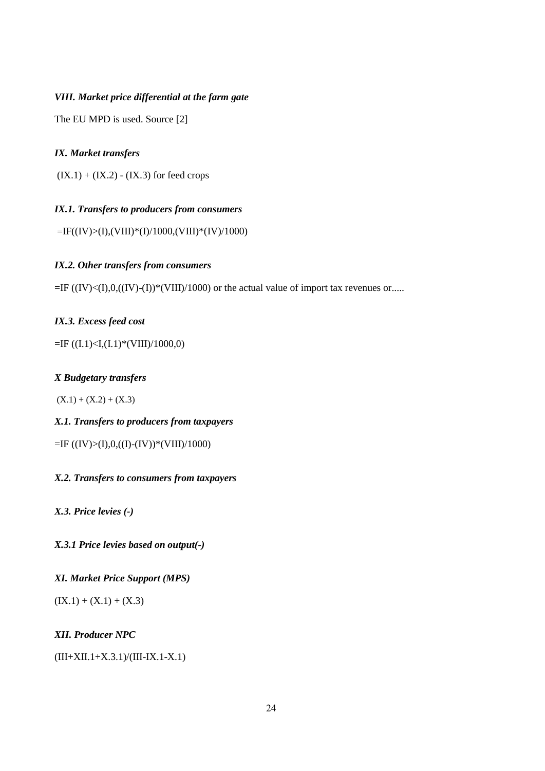# *VIII. Market price differential at the farm gate*

The EU MPD is used. Source [2]

#### *IX. Market transfers*

 $(IX.1) + (IX.2) - (IX.3)$  for feed crops

## *IX.1. Transfers to producers from consumers*

 $=$ IF((IV)>(I),(VIII)\*(I)/1000,(VIII)\*(IV)/1000)

### *IX.2. Other transfers from consumers*

 $=$ IF ((IV)<(I),0,((IV)-(I))\*(VIII)/1000) or the actual value of import tax revenues or.....

#### *IX.3. Excess feed cost*

 $=$ IF ((I.1)<I,(I.1)\*(VIII)/1000,0)

## *X Budgetary transfers*

 $(X.1) + (X.2) + (X.3)$ 

## *X.1. Transfers to producers from taxpayers*

=IF ((IV)>(I),0,((I)-(IV))\*(VIII)/1000)

## *X.2. Transfers to consumers from taxpayers*

*X.3. Price levies (-)* 

*X.3.1 Price levies based on output(-)* 

*XI. Market Price Support (MPS)* 

 $(IX.1) + (X.1) + (X.3)$ 

*XII. Producer NPC*

 $(III+XII.1+X.3.1)/(III-IX.1-X.1)$